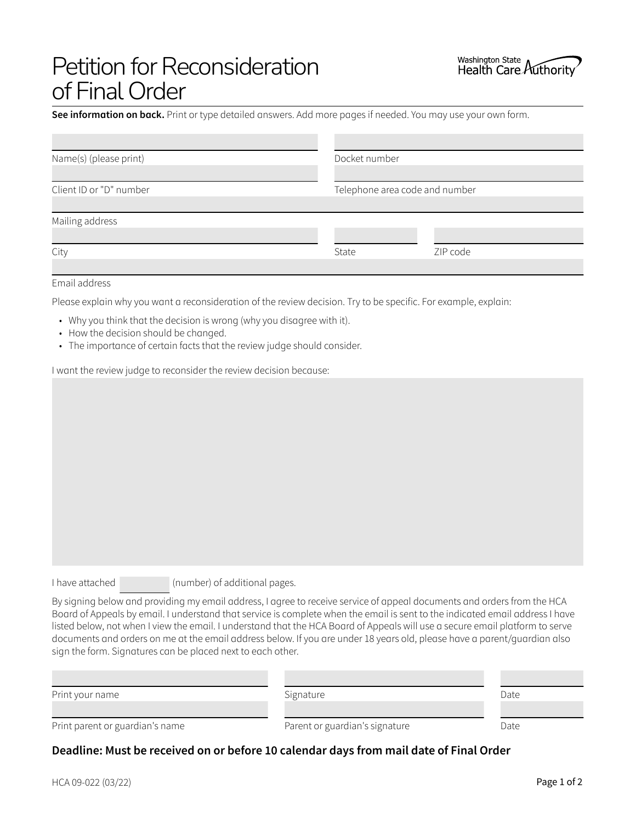# Petition for Reconsideration of Final Order

**See information on back.** Print or type detailed answers. Add more pages if needed. You may use your own form.

| Name(s) (please print)  | Docket number                  |          |
|-------------------------|--------------------------------|----------|
|                         |                                |          |
| Client ID or "D" number | Telephone area code and number |          |
|                         |                                |          |
| Mailing address         |                                |          |
|                         |                                |          |
| City                    | State                          | ZIP code |
|                         |                                |          |

#### Email address

Please explain why you want a reconsideration of the review decision. Try to be specific. For example, explain:

- Why you think that the decision is wrong (why you disagree with it).
- How the decision should be changed.
- The importance of certain facts that the review judge should consider.

I want the review judge to reconsider the review decision because:

I have attached (number) of additional pages.

By signing below and providing my email address, I agree to receive service of appeal documents and orders from the HCA Board of Appeals by email. I understand that service is complete when the email is sent to the indicated email address I have listed below, not when I view the email. I understand that the HCA Board of Appeals will use a secure email platform to serve documents and orders on me at the email address below. If you are under 18 years old, please have a parent/guardian also sign the form. Signatures can be placed next to each other.

| Print your name                 | Signature                      | Date |
|---------------------------------|--------------------------------|------|
|                                 |                                |      |
| Print parent or guardian's name | Parent or guardian's signature | Date |

# **Deadline: Must be received on or before 10 calendar days from mail date of Final Order**